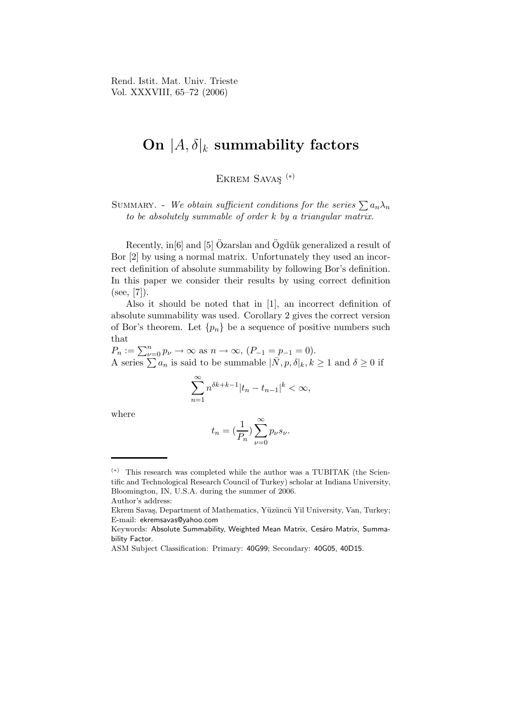Rend. Istit. Mat. Univ. Trieste Vol. XXXVIII, 65–72 (2006)

## On  $|A,\delta|_k$  summability factors

EKREM SAVAS<sup><sup>(\*)</sup></sup>

SUMMARY. - We obtain sufficient conditions for the series  $\sum a_n\lambda_n$ to be absolutely summable of order k by a triangular matrix.

Recently, in<sup>[6]</sup> and <sup>[5]</sup> Ozarslan and Ogdük generalized a result of Bor [2] by using a normal matrix. Unfortunately they used an incorrect definition of absolute summability by following Bor's definition. In this paper we consider their results by using correct definition  $(see, [7]).$ 

Also it should be noted that in [1], an incorrect definition of absolute summability was used. Corollary 2 gives the correct version of Bor's theorem. Let  $\{p_n\}$  be a sequence of positive numbers such that

 $P_n := \sum_{\nu=0}^n p_{\nu} \to \infty$  as  $n \to \infty$ ,  $(P_{-1} = p_{-1} = 0)$ . A series  $\sum a_n$  is said to be summable  $|\bar{N}, p, \delta|_k, k \geq 1$  and  $\delta \geq 0$  if

$$
\sum_{n=1}^{\infty} n^{\delta k + k - 1} |t_n - t_{n-1}|^k < \infty,
$$

where

$$
t_n=(\frac{1}{P_n})\sum_{\nu=0}^{\infty}p_{\nu}s_{\nu}.
$$

<sup>(</sup>∗) This research was completed while the author was a TUBITAK (the Scientific and Technological Research Council of Turkey) scholar at Indiana University, Bloomington, IN, U.S.A. during the summer of 2006.

Author's address:

Ekrem Savaş, Department of Mathematics, Yüzüncü Yil University, Van, Turkey; E-mail: ekremsavas@yahoo.com

Keywords: Absolute Summability, Weighted Mean Matrix, Cesáro Matrix, Summability Factor.

ASM Subject Classification: Primary: 40G99; Secondary: 40G05, 40D15.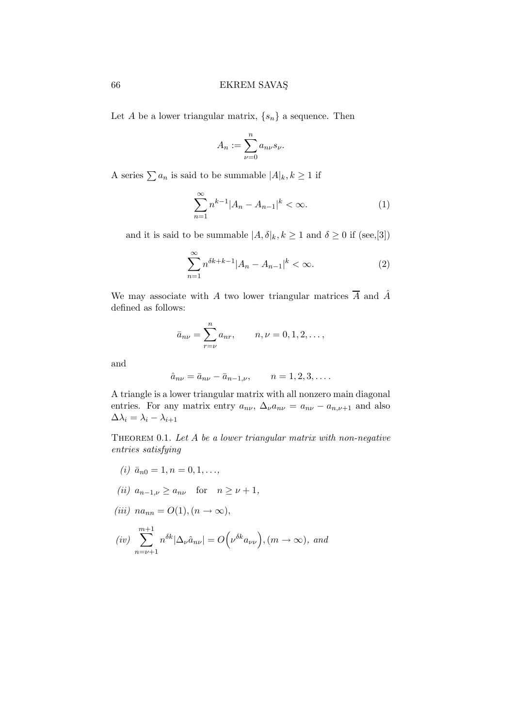Let A be a lower triangular matrix,  $\{s_n\}$  a sequence. Then

$$
A_n := \sum_{\nu=0}^n a_{n\nu} s_\nu.
$$

A series  $\sum a_n$  is said to be summable  $|A|_k, k \ge 1$  if

$$
\sum_{n=1}^{\infty} n^{k-1} |A_n - A_{n-1}|^k < \infty. \tag{1}
$$

and it is said to be summable  $|A, \delta|_k, k \ge 1$  and  $\delta \ge 0$  if (see,[3])

$$
\sum_{n=1}^{\infty} n^{\delta k + k - 1} |A_n - A_{n-1}|^k < \infty. \tag{2}
$$

We may associate with A two lower triangular matrices  $\overline{A}$  and  $\hat{A}$ defined as follows:

$$
\bar{a}_{n\nu} = \sum_{r=\nu}^{n} a_{nr}, \qquad n, \nu = 0, 1, 2, \dots,
$$

and

$$
\hat{a}_{n\nu} = \bar{a}_{n\nu} - \bar{a}_{n-1,\nu}, \qquad n = 1, 2, 3, \dots
$$

A triangle is a lower triangular matrix with all nonzero main diagonal entries. For any matrix entry  $a_{n\nu}$ ,  $\Delta_{\nu} a_{n\nu} = a_{n\nu} - a_{n,\nu+1}$  and also  $\Delta \lambda_i = \lambda_i - \lambda_{i+1}$ 

THEOREM 0.1. Let  $A$  be a lower triangular matrix with non-negative entries satisfying

- (i)  $\bar{a}_{n0} = 1, n = 0, 1, \ldots$
- (ii)  $a_{n-1,\nu} \ge a_{n\nu}$  for  $n \ge \nu+1$ ,

$$
(iii) na_{nn} = O(1), (n \to \infty),
$$

$$
(iv)\ \sum_{n=\nu+1}^{m+1}n^{\delta k}|\Delta_{\nu}\hat{a}_{n\nu}|=O\Big(\nu^{\delta k}a_{\nu\nu}\Big),(m\rightarrow\infty),\ and
$$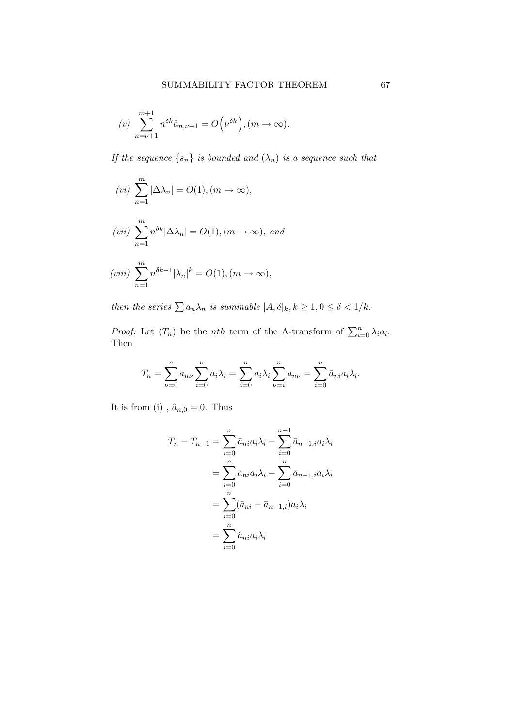$$
(v) \sum_{n=\nu+1}^{m+1} n^{\delta k} \hat{a}_{n,\nu+1} = O\left(\nu^{\delta k}\right), (m \to \infty).
$$

If the sequence  $\{s_n\}$  is bounded and  $(\lambda_n)$  is a sequence such that

$$
(vi) \sum_{n=1}^{m} |\Delta \lambda_n| = O(1), (m \to \infty),
$$
  

$$
(vii) \sum_{n=1}^{m} n^{\delta k} |\Delta \lambda_n| = O(1), (m \to \infty), \text{ and}
$$
  

$$
(viii) \sum_{n=1}^{m} n^{\delta k-1} |\lambda_n|^k = O(1), (m \to \infty),
$$

then the series  $\sum a_n \lambda_n$  is summable  $|A, \delta|_k, k \geq 1, 0 \leq \delta < 1/k$ .

*Proof.* Let  $(T_n)$  be the *nth* term of the A-transform of  $\sum_{i=0}^{n} \lambda_i a_i$ . Then

$$
T_n = \sum_{\nu=0}^n a_{n\nu} \sum_{i=0}^\nu a_i \lambda_i = \sum_{i=0}^n a_i \lambda_i \sum_{\nu=i}^n a_{n\nu} = \sum_{i=0}^n \bar{a}_{ni} a_i \lambda_i.
$$

It is from (i) ,  $\hat{a}_{n,0}=0.$  Thus

$$
T_n - T_{n-1} = \sum_{i=0}^n \bar{a}_{ni} a_i \lambda_i - \sum_{i=0}^{n-1} \bar{a}_{n-1,i} a_i \lambda_i
$$
  
= 
$$
\sum_{i=0}^n \bar{a}_{ni} a_i \lambda_i - \sum_{i=0}^n \bar{a}_{n-1,i} a_i \lambda_i
$$
  
= 
$$
\sum_{i=0}^n (\bar{a}_{ni} - \bar{a}_{n-1,i}) a_i \lambda_i
$$
  
= 
$$
\sum_{i=0}^n \hat{a}_{ni} a_i \lambda_i
$$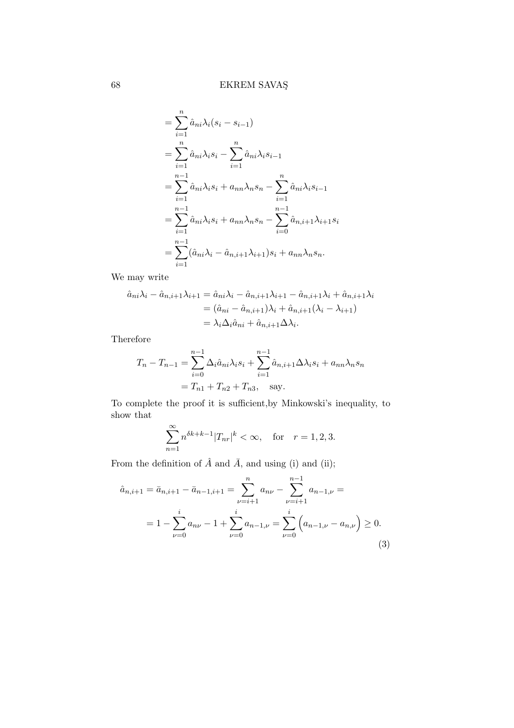$$
= \sum_{i=1}^{n} \hat{a}_{ni} \lambda_i (s_i - s_{i-1})
$$
  
\n
$$
= \sum_{i=1}^{n} \hat{a}_{ni} \lambda_i s_i - \sum_{i=1}^{n} \hat{a}_{ni} \lambda_i s_{i-1}
$$
  
\n
$$
= \sum_{i=1}^{n-1} \hat{a}_{ni} \lambda_i s_i + a_{nn} \lambda_n s_n - \sum_{i=1}^{n} \hat{a}_{ni} \lambda_i s_{i-1}
$$
  
\n
$$
= \sum_{i=1}^{n-1} \hat{a}_{ni} \lambda_i s_i + a_{nn} \lambda_n s_n - \sum_{i=0}^{n-1} \hat{a}_{n,i+1} \lambda_{i+1} s_i
$$
  
\n
$$
= \sum_{i=1}^{n-1} (\hat{a}_{ni} \lambda_i - \hat{a}_{n,i+1} \lambda_{i+1}) s_i + a_{nn} \lambda_n s_n.
$$

We may write

$$
\hat{a}_{ni}\lambda_i - \hat{a}_{n,i+1}\lambda_{i+1} = \hat{a}_{ni}\lambda_i - \hat{a}_{n,i+1}\lambda_{i+1} - \hat{a}_{n,i+1}\lambda_i + \hat{a}_{n,i+1}\lambda_i \n= (\hat{a}_{ni} - \hat{a}_{n,i+1})\lambda_i + \hat{a}_{n,i+1}(\lambda_i - \lambda_{i+1}) \n= \lambda_i \Delta_i \hat{a}_{ni} + \hat{a}_{n,i+1} \Delta \lambda_i.
$$

Therefore

$$
T_n - T_{n-1} = \sum_{i=0}^{n-1} \Delta_i \hat{a}_{ni} \lambda_i s_i + \sum_{i=1}^{n-1} \hat{a}_{n,i+1} \Delta \lambda_i s_i + a_{nn} \lambda_n s_n
$$
  
=  $T_{n1} + T_{n2} + T_{n3}$ , say.

To complete the proof it is sufficient,by Minkowski's inequality, to show that

$$
\sum_{n=1}^{\infty} n^{\delta k + k - 1} |T_{nr}|^k < \infty, \quad \text{for} \quad r = 1, 2, 3.
$$

From the definition of  $\hat{A}$  and  $\bar{A}$ , and using (i) and (ii);

$$
\hat{a}_{n,i+1} = \bar{a}_{n,i+1} - \bar{a}_{n-1,i+1} = \sum_{\nu=i+1}^{n} a_{n\nu} - \sum_{\nu=i+1}^{n-1} a_{n-1,\nu} =
$$
  
=  $1 - \sum_{\nu=0}^{i} a_{n\nu} - 1 + \sum_{\nu=0}^{i} a_{n-1,\nu} = \sum_{\nu=0}^{i} \left( a_{n-1,\nu} - a_{n,\nu} \right) \ge 0.$  (3)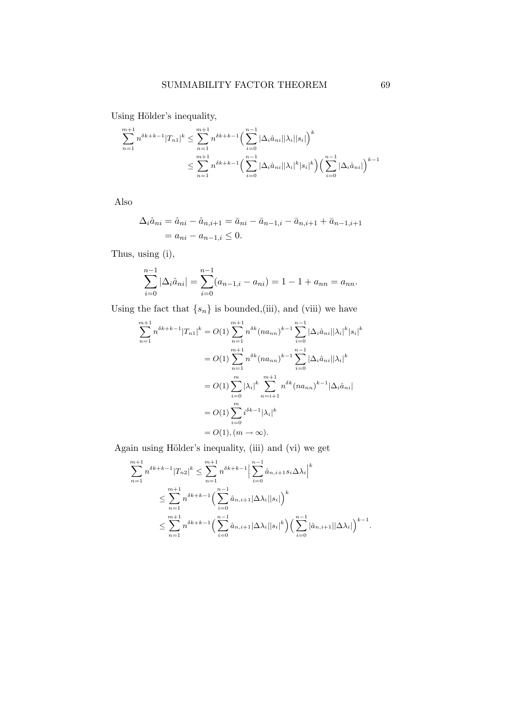Using Hölder's inequality,

$$
\sum_{n=1}^{m+1} n^{\delta k + k - 1} |T_{n1}|^k \le \sum_{n=1}^{m+1} n^{\delta k + k - 1} \Big( \sum_{i=0}^{n-1} |\Delta_i \hat{a}_{ni}| |\lambda_i| |s_i| \Big)^k
$$
  

$$
\le \sum_{n=1}^{m+1} n^{\delta k + k - 1} \Big( \sum_{i=0}^{n-1} |\Delta_i \hat{a}_{ni}| |\lambda_i|^k |s_i|^k \Big) \Big( \sum_{i=0}^{n-1} |\Delta_i \hat{a}_{ni}| \Big)^{k-1}
$$

Also

$$
\Delta_i \hat{a}_{ni} = \hat{a}_{ni} - \hat{a}_{n,i+1} = \bar{a}_{ni} - \bar{a}_{n-1,i} - \bar{a}_{n,i+1} + \bar{a}_{n-1,i+1}
$$
  
=  $a_{ni} - a_{n-1,i} \leq 0$ .

Thus, using (i),

$$
\sum_{i=0}^{n-1} |\Delta_i \hat{a}_{ni}| = \sum_{i=0}^{n-1} (a_{n-1,i} - a_{ni}) = 1 - 1 + a_{nn} = a_{nn}.
$$

Using the fact that  $\{s_n\}$  is bounded,(iii), and (viii) we have

$$
\sum_{n=1}^{m+1} n^{\delta k + k - 1} |T_{n1}|^k = O(1) \sum_{n=1}^{m+1} n^{\delta k} (n a_{nn})^{k-1} \sum_{i=0}^{n-1} |\Delta_i \hat{a}_{ni}| |\lambda_i|^k |s_i|^k
$$
  
=  $O(1) \sum_{n=1}^{m+1} n^{\delta k} (n a_{nn})^{k-1} \sum_{i=0}^{n-1} |\Delta_i \hat{a}_{ni}| |\lambda_i|^k$   
=  $O(1) \sum_{i=0}^{m} |\lambda_i|^k \sum_{n=i+1}^{m+1} n^{\delta k} (n a_{nn})^{k-1} |\Delta_i \hat{a}_{ni}|$   
=  $O(1) \sum_{i=0}^{m} i^{\delta k - 1} |\lambda_i|^k$   
=  $O(1), (m \to \infty).$ 

Again using Hölder's inequality, (iii) and (vi) we get

$$
\sum_{n=1}^{m+1} n^{\delta k + k - 1} |T_{n2}|^k \le \sum_{n=1}^{m+1} n^{\delta k + k - 1} \left| \sum_{i=0}^{n-1} \hat{a}_{n,i+1} s_i \Delta \lambda_i \right|^k
$$
  

$$
\le \sum_{n=1}^{m+1} n^{\delta k + k - 1} \left( \sum_{i=0}^{n-1} \hat{a}_{n,i+1} |\Delta \lambda_i| |s_i| \right)^k
$$
  

$$
\le \sum_{n=1}^{m+1} n^{\delta k + k - 1} \left( \sum_{i=0}^{n-1} \hat{a}_{n,i+1} |\Delta \lambda_i| |s_i|^k \right) \left( \sum_{i=0}^{n-1} |\hat{a}_{n,i+1}| |\Delta \lambda_i| \right)^{k-1}.
$$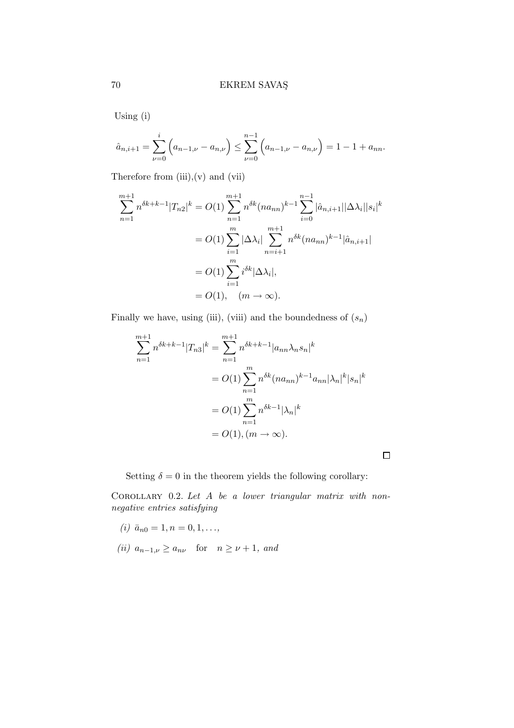Using (i)

$$
\hat{a}_{n,i+1} = \sum_{\nu=0}^{i} \left( a_{n-1,\nu} - a_{n,\nu} \right) \le \sum_{\nu=0}^{n-1} \left( a_{n-1,\nu} - a_{n,\nu} \right) = 1 - 1 + a_{nn}.
$$

Therefore from  $(iii),(v)$  and  $(vii)$ 

$$
\sum_{n=1}^{m+1} n^{\delta k + k - 1} |T_{n2}|^k = O(1) \sum_{n=1}^{m+1} n^{\delta k} (n a_{nn})^{k-1} \sum_{i=0}^{n-1} |\hat{a}_{n,i+1}| |\Delta \lambda_i| |s_i|^k
$$
  
=  $O(1) \sum_{i=1}^m |\Delta \lambda_i| \sum_{n=i+1}^{m+1} n^{\delta k} (n a_{nn})^{k-1} |\hat{a}_{n,i+1}|$   
=  $O(1) \sum_{i=1}^m i^{\delta k} |\Delta \lambda_i|,$   
=  $O(1), (m \to \infty).$ 

Finally we have, using (iii), (viii) and the boundedness of  $(s_n)$ 

$$
\sum_{n=1}^{m+1} n^{\delta k + k - 1} |T_{n3}|^k = \sum_{n=1}^{m+1} n^{\delta k + k - 1} |a_{nn}\lambda_n s_n|^k
$$
  
=  $O(1) \sum_{n=1}^m n^{\delta k} (n a_{nn})^{k-1} a_{nn} |\lambda_n|^k |s_n|^k$   
=  $O(1) \sum_{n=1}^m n^{\delta k - 1} |\lambda_n|^k$   
=  $O(1), (m \to \infty).$ 

 $\Box$ 

Setting  $\delta = 0$  in the theorem yields the following corollary:

COROLLARY 0.2. Let  $A$  be a lower triangular matrix with nonnegative entries satisfying

- (*i*)  $\bar{a}_{n0} = 1, n = 0, 1, \ldots,$
- (ii)  $a_{n-1,\nu} \ge a_{n\nu}$  for  $n \ge \nu+1$ , and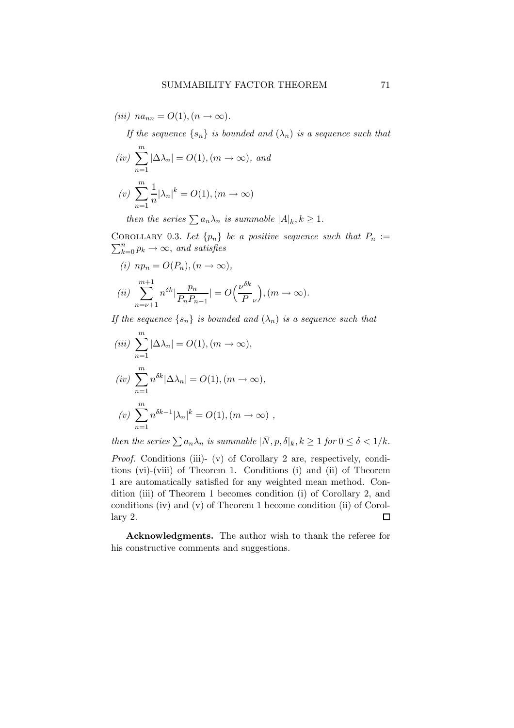(iii)  $na_{nn} = O(1), (n \rightarrow \infty).$ 

If the sequence  $\{s_n\}$  is bounded and  $(\lambda_n)$  is a sequence such that

$$
(iv) \sum_{n=1}^{m} |\Delta \lambda_n| = O(1), (m \to \infty), \text{ and}
$$

$$
(v) \sum_{n=1}^{m} \frac{1}{n} |\lambda_n|^k = O(1), (m \to \infty)
$$

then the series  $\sum a_n \lambda_n$  is summable  $|A|_k, k \geq 1$ .

COROLLARY 0.3. Let  $\{p_n\}$  be a positive sequence such that  $P_n :=$  $\sum_{k=0}^{n} p_k \rightarrow \infty$ , and satisfies

(i) 
$$
np_n = O(P_n), (n \to \infty),
$$
  
\n(ii) 
$$
\sum_{n=\nu+1}^{m+1} n^{\delta k} \left| \frac{p_n}{P_n P_{n-1}} \right| = O\left(\frac{\nu^{\delta k}}{P_{\nu}}\right), (m \to \infty).
$$

If the sequence  $\{s_n\}$  is bounded and  $(\lambda_n)$  is a sequence such that

$$
(iii) \sum_{n=1}^{m} |\Delta \lambda_n| = O(1), (m \to \infty),
$$
  
\n
$$
(iv) \sum_{n=1}^{m} n^{\delta k} |\Delta \lambda_n| = O(1), (m \to \infty),
$$
  
\n
$$
(v) \sum_{n=1}^{m} n^{\delta k - 1} |\lambda_n|^k = O(1), (m \to \infty),
$$

then the series  $\sum a_n \lambda_n$  is summable  $|\bar{N}, p, \delta|_k, k \geq 1$  for  $0 \leq \delta < 1/k$ .

Proof. Conditions (iii)- (v) of Corollary 2 are, respectively, conditions (vi)-(viii) of Theorem 1. Conditions (i) and (ii) of Theorem 1 are automatically satisfied for any weighted mean method. Condition (iii) of Theorem 1 becomes condition (i) of Corollary 2, and conditions (iv) and (v) of Theorem 1 become condition (ii) of Corollary 2.  $\Box$ 

Acknowledgments. The author wish to thank the referee for his constructive comments and suggestions.